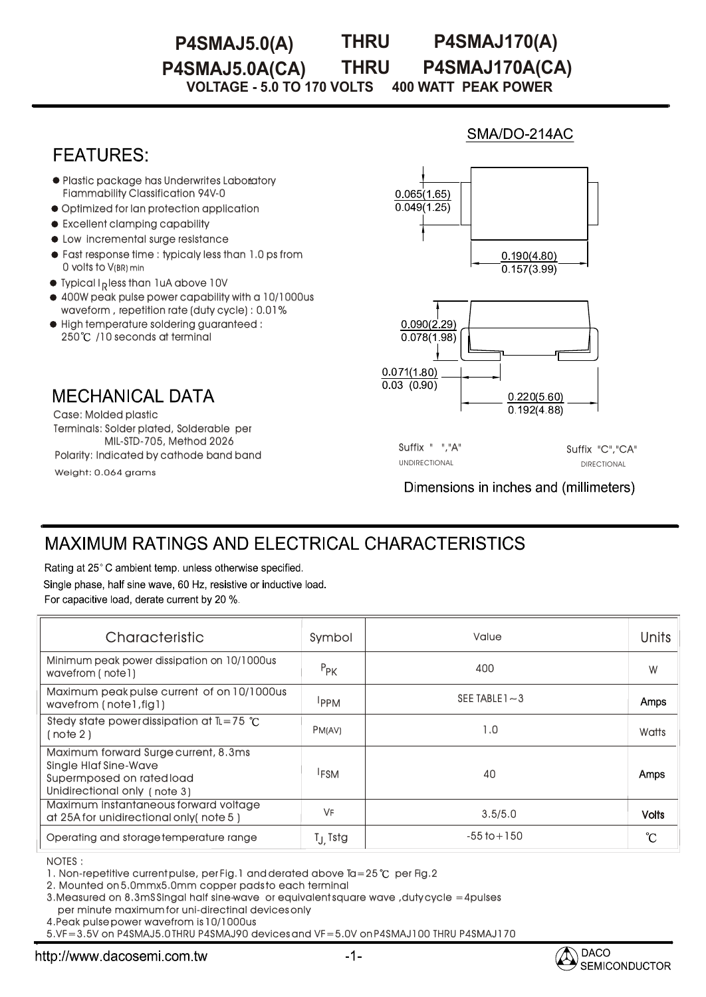#### **THRU P4SMAJ5.0(A) THRU P4SMAJ170(A) P4SMAJ5.0A(CA) P4SMAJ170A(CA)**

**VOLTAGE - 5.0 TO 170 VOLTS 400 WATT PEAK POWER** 

## **FEATURES**

- Plastic package has Underwrites Laboratory Fiammability Classification 94V-0
- Optimized for lan protection application
- $\bullet$  Excellent clamping capability
- $\bullet$  Low incremental surge resistance
- Fast response time : typicaly less than 1.0 ps from 0 volts to V(BR) min
- $\bullet$  Typical I <sub>p</sub>less than 1uA above 10V
- 400W peak pulse power capability with a 10/1000us waveform , repetition rate (duty cycle) : 0.01%
- High temperature soldering guaranteed : 250°C /10 seconds at terminal

**MECHANICAL DATA** 

Terminals: Solder plated, Solderable per MIL-STD-705, Method 2026 Case: Molded plastic Polarity: Indicated by cathode band band

Weight: 0.064 grams



SMA/DO-214AC



Suffix " ","A" Suffix "C","CA" UNDIRECTIONAL DIRECTIONAL

Dimensions in inches and (millimeters)

# **MAXIMUM RATINGS AND ELECTRICAL CHARACTERISTICS**

Rating at 25°C ambient temp. unless otherwise specified. Single phase, half sine wave, 60 Hz, resistive or inductive load. For capacitive load, derate current by 20 %.

| Characteristic                                                                                                                    | Symbol              | Value             | Units        |
|-----------------------------------------------------------------------------------------------------------------------------------|---------------------|-------------------|--------------|
| Minimum peak power dissipation on 10/1000us<br>wavefrom (notel)                                                                   | $P_{PK}$            | 400               | W            |
| Maximum peak pulse current of on 10/1000us<br>wavefrom (note1,fig1)                                                               | <b>IPPM</b>         | SEE TABLE $1 - 3$ | Amps         |
| Stedy state power dissipation at $IL = 75$ °C<br>(note 2)                                                                         | PM(AV)              | 1.0               | Watts        |
| Maximum forward Surge current, 8.3ms<br><b>Single Hiaf Sine-Wave</b><br>Supermposed on rated load<br>Unidirectional only (note 3) | <sup>I</sup> FSM    | 40                | Amps         |
| Maximum instantaneous forward voltage<br>at 25A for unidirectional only (note 5)                                                  | VF                  | 3.5/5.0           | <b>Volts</b> |
| Operating and storage temperature range                                                                                           | T <sub>J</sub> Tstg | $-55$ to $+150$   | °C           |

NOTES : :

1. Non-repetitive current pulse, per Fig.1 and derated above Ta=25 °C per Fig.2

2. Mounted on 5.0mmx5.0mm copper pads to each terminal

3.Measured on 8.3mS Singal half sine-wave or equivalent square wave ,duty cycle =4pulses per minute maximum for uni-directinal devices only

4.Peak pulse power wavefrom is 10/1000us

5.VF=3.5V on P4SMAJ5.0 THRU P4SMAJ90 devices and VF=5.0V on P4SMAJ100 THRU P4SMAJ170 P4SMAJ170

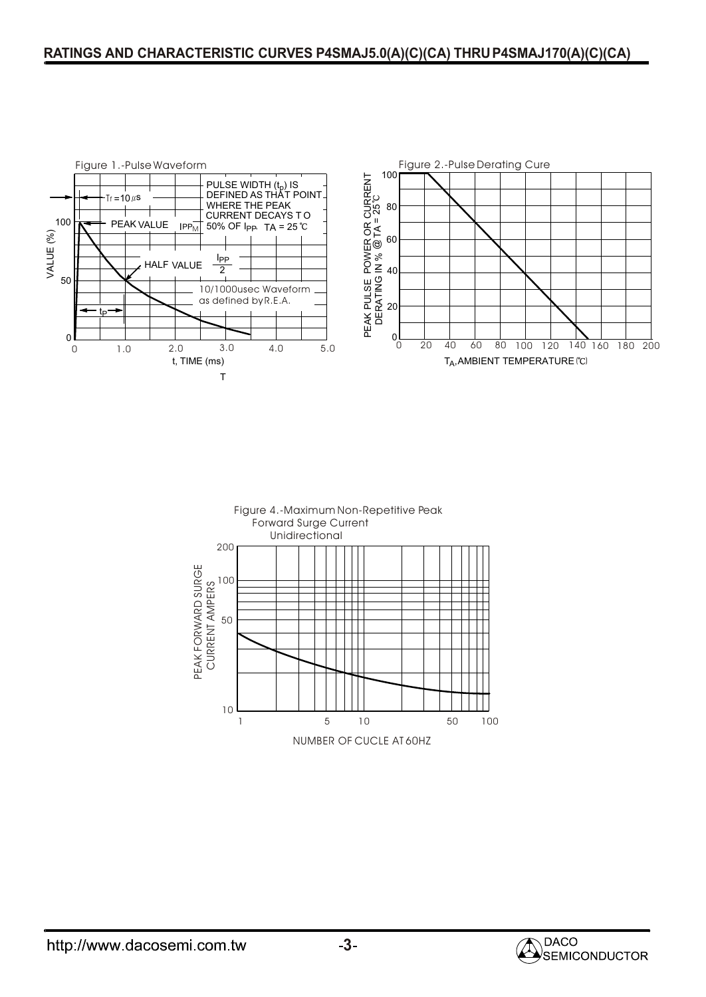#### **RATINGS AND CHARACTERISTIC CURVES P4SMAJ5.0(A)(C)(CA) THRUP4SMAJ170(A)(C)(CA)**





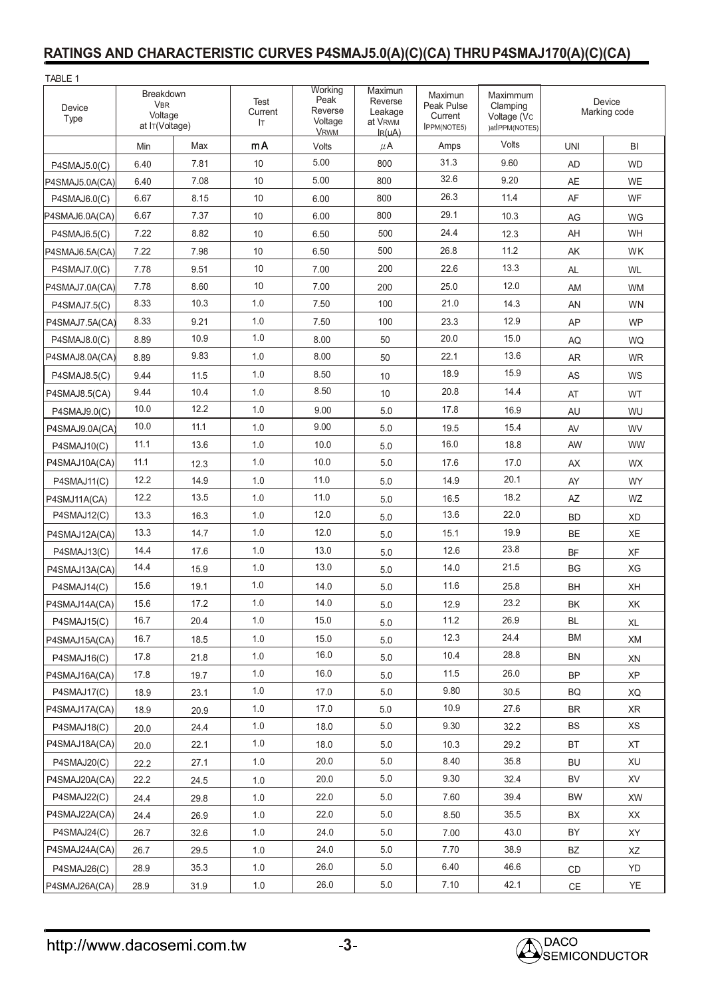## **RATINGS AND CHARACTERISTIC CURVES P4SMAJ5.0(A)(C)(CA) THRUP4SMAJ170(A)(C)(CA)**

| TABLE 1        |                                                      |      |                        |                                                      |                                                                     |                                                        |                                                       |                        |           |
|----------------|------------------------------------------------------|------|------------------------|------------------------------------------------------|---------------------------------------------------------------------|--------------------------------------------------------|-------------------------------------------------------|------------------------|-----------|
| Device<br>Type | Breakdown<br><b>VBR</b><br>Voltage<br>at IT(Voltage) |      | Test<br>Current<br>IT. | Working<br>Peak<br>Reverse<br>Voltage<br><b>VRWM</b> | Maximun<br>Reverse<br>Leakage<br>at V <sub>RWM</sub><br>$I_{R}(uA)$ | Maximun<br>Peak Pulse<br>Current<br><b>IPPM(NOTE5)</b> | Maximmum<br>Clamping<br>Voltage (Vc<br>)atIPPM(NOTE5) | Device<br>Marking code |           |
|                | Min                                                  | Max  | mA                     | Volts                                                | $\mu$ A                                                             | Amps                                                   | Volts                                                 | <b>UNI</b>             | BI        |
| P4SMAJ5.0(C)   | 6.40                                                 | 7.81 | 10                     | 5.00                                                 | 800                                                                 | 31.3                                                   | 9.60                                                  | <b>AD</b>              | <b>WD</b> |
| P4SMAJ5.0A(CA) | 6.40                                                 | 7.08 | 10                     | 5.00                                                 | 800                                                                 | 32.6                                                   | 9.20                                                  | <b>AE</b>              | <b>WE</b> |
| P4SMAJ6.0(C)   | 6.67                                                 | 8.15 | 10                     | 6.00                                                 | 800                                                                 | 26.3                                                   | 11.4                                                  | AF                     | WF        |
| P4SMAJ6.0A(CA) | 6.67                                                 | 7.37 | 10                     | 6.00                                                 | 800                                                                 | 29.1                                                   | 10.3                                                  | AG                     | WG        |
| P4SMAJ6.5(C)   | 7.22                                                 | 8.82 | 10                     | 6.50                                                 | 500                                                                 | 24.4                                                   | 12.3                                                  | AH                     | <b>WH</b> |
| P4SMAJ6.5A(CA) | 7.22                                                 | 7.98 | 10                     | 6.50                                                 | 500                                                                 | 26.8                                                   | 11.2                                                  | AK                     | WK        |
| P4SMAJ7.0(C)   | 7.78                                                 | 9.51 | 10                     | 7.00                                                 | 200                                                                 | 22.6                                                   | 13.3                                                  | <b>AL</b>              | WL        |
| P4SMAJ7.0A(CA) | 7.78                                                 | 8.60 | 10                     | 7.00                                                 | 200                                                                 | 25.0                                                   | 12.0                                                  | AM                     | <b>WM</b> |
| P4SMAJ7.5(C)   | 8.33                                                 | 10.3 | 1.0                    | 7.50                                                 | 100                                                                 | 21.0                                                   | 14.3                                                  | AN                     | <b>WN</b> |
| P4SMAJ7.5A(CA) | 8.33                                                 | 9.21 | 1.0                    | 7.50                                                 | 100                                                                 | 23.3                                                   | 12.9                                                  | AP                     | <b>WP</b> |
| P4SMAJ8.0(C)   | 8.89                                                 | 10.9 | 1.0                    | 8.00                                                 | 50                                                                  | 20.0                                                   | 15.0                                                  | AQ                     | WQ        |
| P4SMAJ8.0A(CA) | 8.89                                                 | 9.83 | 1.0                    | 8.00                                                 | 50                                                                  | 22.1                                                   | 13.6                                                  | AR                     | <b>WR</b> |
| P4SMAJ8.5(C)   | 9.44                                                 | 11.5 | 1.0                    | 8.50                                                 | 10                                                                  | 18.9                                                   | 15.9                                                  | AS                     | <b>WS</b> |
| P4SMAJ8.5(CA)  | 9.44                                                 | 10.4 | 1.0                    | 8.50                                                 | 10                                                                  | 20.8                                                   | 14.4                                                  | AT                     | <b>WT</b> |
| P4SMAJ9.0(C)   | 10.0                                                 | 12.2 | 1.0                    | 9.00                                                 | 5.0                                                                 | 17.8                                                   | 16.9                                                  | AU                     | WU        |
| P4SMAJ9.0A(CA) | 10.0                                                 | 11.1 | 1.0                    | 9.00                                                 | 5.0                                                                 | 19.5                                                   | 15.4                                                  | AV                     | <b>WV</b> |
| P4SMAJ10(C)    | 11.1                                                 | 13.6 | 1.0                    | 10.0                                                 | 5.0                                                                 | 16.0                                                   | 18.8                                                  | AW                     | <b>WW</b> |
| P4SMAJ10A(CA)  | 11.1                                                 | 12.3 | 1.0                    | 10.0                                                 | 5.0                                                                 | 17.6                                                   | 17.0                                                  | AX                     | <b>WX</b> |
| P4SMAJ11(C)    | 12.2                                                 | 14.9 | 1.0                    | 11.0                                                 | 5.0                                                                 | 14.9                                                   | 20.1                                                  | AY                     | <b>WY</b> |
| P4SMJ11A(CA)   | 12.2                                                 | 13.5 | 1.0                    | 11.0                                                 | 5.0                                                                 | 16.5                                                   | 18.2                                                  | AZ                     | WZ        |
| P4SMAJ12(C)    | 13.3                                                 | 16.3 | 1.0                    | 12.0                                                 | 5.0                                                                 | 13.6                                                   | 22.0                                                  | <b>BD</b>              | <b>XD</b> |
| P4SMAJ12A(CA)  | 13.3                                                 | 14.7 | 1.0                    | 12.0                                                 | 5.0                                                                 | 15.1                                                   | 19.9                                                  | <b>BE</b>              | XE        |
| P4SMAJ13(C)    | 14.4                                                 | 17.6 | 1.0                    | 13.0                                                 | 5.0                                                                 | 12.6                                                   | 23.8                                                  | <b>BF</b>              | XF        |
| P4SMAJ13A(CA)  | 14.4                                                 | 15.9 | 1.0                    | 13.0                                                 | 5.0                                                                 | 14.0                                                   | 21.5                                                  | BG                     | XG        |
| P4SMAJ14(C)    | 15.6                                                 | 19.1 | 1.0                    | 14.0                                                 | 5.0                                                                 | 11.6                                                   | 25.8                                                  | BH                     | XH        |
| P4SMAJ14A(CA)  | 15.6                                                 | 17.2 | $1.0\,$                | 14.0                                                 | 5.0                                                                 | 12.9                                                   | 23.2                                                  | BK                     | XK        |
| P4SMAJ15(C)    | 16.7                                                 | 20.4 | 1.0                    | 15.0                                                 | 5.0                                                                 | 11.2                                                   | 26.9                                                  | BL                     | XL        |
| P4SMAJ15A(CA)  | 16.7                                                 | 18.5 | 1.0                    | 15.0                                                 | 5.0                                                                 | 12.3                                                   | 24.4                                                  | <b>BM</b>              | XM        |
| P4SMAJ16(C)    | 17.8                                                 | 21.8 | 1.0                    | 16.0                                                 | 5.0                                                                 | 10.4                                                   | 28.8                                                  | <b>BN</b>              | XN        |
| P4SMAJ16A(CA)  | 17.8                                                 | 19.7 | 1.0                    | 16.0                                                 | 5.0                                                                 | 11.5                                                   | 26.0                                                  | <b>BP</b>              | XP        |
| P4SMAJ17(C)    | 18.9                                                 | 23.1 | 1.0                    | 17.0                                                 | 5.0                                                                 | 9.80                                                   | 30.5                                                  | BQ                     | XQ        |
| P4SMAJ17A(CA)  | 18.9                                                 | 20.9 | 1.0                    | 17.0                                                 | 5.0                                                                 | 10.9                                                   | 27.6                                                  | BR                     | XR        |
| P4SMAJ18(C)    | 20.0                                                 | 24.4 | 1.0                    | 18.0                                                 | 5.0                                                                 | 9.30                                                   | 32.2                                                  | BS                     | XS        |
| P4SMAJ18A(CA)  | 20.0                                                 | 22.1 | $1.0\,$                | 18.0                                                 | 5.0                                                                 | 10.3                                                   | 29.2                                                  | BT                     | XT        |
| P4SMAJ20(C)    | 22.2                                                 | 27.1 | 1.0                    | 20.0                                                 | 5.0                                                                 | 8.40                                                   | 35.8                                                  | <b>BU</b>              | XU        |
| P4SMAJ20A(CA)  | 22.2                                                 | 24.5 | 1.0                    | 20.0                                                 | 5.0                                                                 | 9.30                                                   | 32.4                                                  | BV                     | <b>XV</b> |
| P4SMAJ22(C)    | 24.4                                                 | 29.8 | 1.0                    | 22.0                                                 | 5.0                                                                 | 7.60                                                   | 39.4                                                  | BW                     | XW        |
| P4SMAJ22A(CA)  | 24.4                                                 | 26.9 | 1.0                    | 22.0                                                 | 5.0                                                                 | 8.50                                                   | 35.5                                                  | BX                     | XX        |
| P4SMAJ24(C)    | 26.7                                                 | 32.6 | 1.0                    | 24.0                                                 | 5.0                                                                 | 7.00                                                   | 43.0                                                  | BY                     | XY        |
| P4SMAJ24A(CA)  | 26.7                                                 | 29.5 | 1.0                    | 24.0                                                 | 5.0                                                                 | 7.70                                                   | 38.9                                                  | BZ                     | XZ        |
| P4SMAJ26(C)    | 28.9                                                 | 35.3 | 1.0                    | 26.0                                                 | 5.0                                                                 | 6.40                                                   | 46.6                                                  | CD                     | YD        |
| P4SMAJ26A(CA)  | 28.9                                                 | 31.9 | $1.0\,$                | 26.0                                                 | 5.0                                                                 | 7.10                                                   | 42.1                                                  | $\mathsf{CE}$          | YE        |

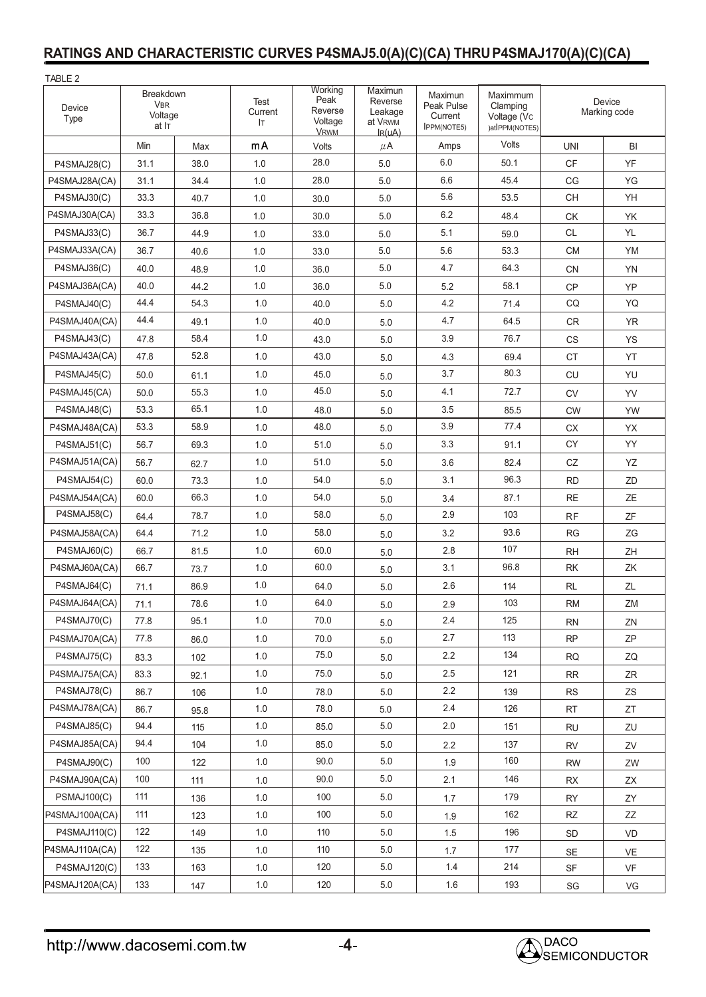#### **RATINGS AND CHARACTERISTIC CURVES P4SMAJ5.0(A)(C)(CA) THRUP4SMAJ170(A)(C)(CA)**

| TABLE 2            |                                             |      |                       |                                                      |                                                                     |                                                        |                                                       |                        |           |
|--------------------|---------------------------------------------|------|-----------------------|------------------------------------------------------|---------------------------------------------------------------------|--------------------------------------------------------|-------------------------------------------------------|------------------------|-----------|
| Device<br>Type     | Breakdown<br><b>VBR</b><br>Voltage<br>at IT |      | Test<br>Current<br>Iт | Working<br>Peak<br>Reverse<br>Voltage<br><b>VRWM</b> | Maximun<br>Reverse<br>Leakage<br>at V <sub>RWM</sub><br>$I_{R}(uA)$ | Maximun<br>Peak Pulse<br>Current<br><b>IPPM(NOTE5)</b> | Maximmum<br>Clamping<br>Voltage (Vc<br>)atIPPM(NOTE5) | Device<br>Marking code |           |
|                    | Min                                         | Max  | mA                    | Volts                                                | $\mu$ A                                                             | Amps                                                   | Volts                                                 | <b>UNI</b>             | BI        |
| P4SMAJ28(C)        | 31.1                                        | 38.0 | 1.0                   | 28.0                                                 | 5.0                                                                 | 6.0                                                    | 50.1                                                  | <b>CF</b>              | YF        |
| P4SMAJ28A(CA)      | 31.1                                        | 34.4 | 1.0                   | 28.0                                                 | 5.0                                                                 | 6.6                                                    | 45.4                                                  | CG                     | ΥG        |
| P4SMAJ30(C)        | 33.3                                        | 40.7 | 1.0                   | 30.0                                                 | 5.0                                                                 | 5.6                                                    | 53.5                                                  | <b>CH</b>              | YH        |
| P4SMAJ30A(CA)      | 33.3                                        | 36.8 | 1.0                   | 30.0                                                 | 5.0                                                                 | 6.2                                                    | 48.4                                                  | СK                     | YK        |
| P4SMAJ33(C)        | 36.7                                        | 44.9 | 1.0                   | 33.0                                                 | 5.0                                                                 | 5.1                                                    | 59.0                                                  | <b>CL</b>              | YL        |
| P4SMAJ33A(CA)      | 36.7                                        | 40.6 | 1.0                   | 33.0                                                 | 5.0                                                                 | 5.6                                                    | 53.3                                                  | <b>CM</b>              | <b>YM</b> |
| P4SMAJ36(C)        | 40.0                                        | 48.9 | 1.0                   | 36.0                                                 | 5.0                                                                 | 4.7                                                    | 64.3                                                  | <b>CN</b>              | <b>YN</b> |
| P4SMAJ36A(CA)      | 40.0                                        | 44.2 | 1.0                   | 36.0                                                 | 5.0                                                                 | 5.2                                                    | 58.1                                                  | CP                     | YP        |
| P4SMAJ40(C)        | 44.4                                        | 54.3 | 1.0                   | 40.0                                                 | 5.0                                                                 | 4.2                                                    | 71.4                                                  | CQ                     | <b>YQ</b> |
| P4SMAJ40A(CA)      | 44.4                                        | 49.1 | 1.0                   | 40.0                                                 | 5.0                                                                 | 4.7                                                    | 64.5                                                  | <b>CR</b>              | <b>YR</b> |
| P4SMAJ43(C)        | 47.8                                        | 58.4 | 1.0                   | 43.0                                                 | 5.0                                                                 | 3.9                                                    | 76.7                                                  | <b>CS</b>              | <b>YS</b> |
| P4SMAJ43A(CA)      | 47.8                                        | 52.8 | 1.0                   | 43.0                                                 | 5.0                                                                 | 4.3                                                    | 69.4                                                  | <b>CT</b>              | YT        |
| P4SMAJ45(C)        | 50.0                                        | 61.1 | 1.0                   | 45.0                                                 | 5.0                                                                 | 3.7                                                    | 80.3                                                  | <b>CU</b>              | YU        |
| P4SMAJ45(CA)       | 50.0                                        | 55.3 | 1.0                   | 45.0                                                 | 5.0                                                                 | 4.1                                                    | 72.7                                                  | <b>CV</b>              | YV        |
| P4SMAJ48(C)        | 53.3                                        | 65.1 | 1.0                   | 48.0                                                 | 5.0                                                                 | 3.5                                                    | 85.5                                                  | <b>CW</b>              | YW        |
| P4SMAJ48A(CA)      | 53.3                                        | 58.9 | 1.0                   | 48.0                                                 | 5.0                                                                 | 3.9                                                    | 77.4                                                  | <b>CX</b>              | YX        |
| P4SMAJ51(C)        | 56.7                                        | 69.3 | 1.0                   | 51.0                                                 | 5.0                                                                 | 3.3                                                    | 91.1                                                  | <b>CY</b>              | YY        |
| P4SMAJ51A(CA)      | 56.7                                        | 62.7 | 1.0                   | 51.0                                                 | 5.0                                                                 | 3.6                                                    | 82.4                                                  | CZ                     | YZ        |
| P4SMAJ54(C)        | 60.0                                        | 73.3 | 1.0                   | 54.0                                                 | 5.0                                                                 | 3.1                                                    | 96.3                                                  | <b>RD</b>              | ZD        |
| P4SMAJ54A(CA)      | 60.0                                        | 66.3 | 1.0                   | 54.0                                                 | 5.0                                                                 | 3.4                                                    | 87.1                                                  | <b>RE</b>              | ZE        |
| P4SMAJ58(C)        | 64.4                                        | 78.7 | 1.0                   | 58.0                                                 | 5.0                                                                 | 2.9                                                    | 103                                                   | RF                     | ZF        |
| P4SMAJ58A(CA)      | 64.4                                        | 71.2 | 1.0                   | 58.0                                                 | 5.0                                                                 | 3.2                                                    | 93.6                                                  | <b>RG</b>              | ZG        |
| P4SMAJ60(C)        | 66.7                                        | 81.5 | 1.0                   | 60.0                                                 | 5.0                                                                 | 2.8                                                    | 107                                                   | <b>RH</b>              | ZH        |
| P4SMAJ60A(CA)      | 66.7                                        | 73.7 | 1.0                   | 60.0                                                 | 5.0                                                                 | 3.1                                                    | 96.8                                                  | RK                     | ZK        |
| P4SMAJ64(C)        | 71.1                                        | 86.9 | 1.0                   | 64.0                                                 | 5.0                                                                 | 2.6                                                    | 114                                                   | <b>RL</b>              | ZL        |
| P4SMAJ64A(CA)      | 71.1                                        | 78.6 | $1.0\,$               | 64.0                                                 | 5.0                                                                 | 2.9                                                    | 103                                                   | <b>RM</b>              | ZM        |
| P4SMAJ70(C)        | 77.8                                        | 95.1 | 1.0                   | 70.0                                                 | 5.0                                                                 | 2.4                                                    | 125                                                   | <b>RN</b>              | ZN        |
| P4SMAJ70A(CA)      | 77.8                                        | 86.0 | 1.0                   | 70.0                                                 | $5.0\,$                                                             | 2.7                                                    | 113                                                   | <b>RP</b>              | ZP        |
| P4SMAJ75(C)        | 83.3                                        | 102  | 1.0                   | 75.0                                                 | 5.0                                                                 | 2.2                                                    | 134                                                   | <b>RQ</b>              | ZQ        |
| P4SMAJ75A(CA)      | 83.3                                        | 92.1 | 1.0                   | 75.0                                                 | $5.0\,$                                                             | 2.5                                                    | 121                                                   | <b>RR</b>              | ZR        |
| P4SMAJ78(C)        | 86.7                                        | 106  | 1.0                   | 78.0                                                 | 5.0                                                                 | 2.2                                                    | 139                                                   | <b>RS</b>              | ZS        |
| P4SMAJ78A(CA)      | 86.7                                        | 95.8 | 1.0                   | 78.0                                                 | 5.0                                                                 | 2.4                                                    | 126                                                   | <b>RT</b>              | ZT        |
| P4SMAJ85(C)        | 94.4                                        | 115  | 1.0                   | 85.0                                                 | 5.0                                                                 | 2.0                                                    | 151                                                   | <b>RU</b>              | ZU        |
| P4SMAJ85A(CA)      | 94.4                                        | 104  | 1.0                   | 85.0                                                 | 5.0                                                                 | 2.2                                                    | 137                                                   | <b>RV</b>              | ZV        |
| P4SMAJ90(C)        | 100                                         | 122  | 1.0                   | 90.0                                                 | 5.0                                                                 | 1.9                                                    | 160                                                   | <b>RW</b>              | ZW        |
| P4SMAJ90A(CA)      | 100                                         | 111  | 1.0                   | 90.0                                                 | 5.0                                                                 | 2.1                                                    | 146                                                   | RX                     | ΖX        |
| <b>PSMAJ100(C)</b> | 111                                         | 136  | 1.0                   | 100                                                  | 5.0                                                                 | 1.7                                                    | 179                                                   | <b>RY</b>              | ZY        |
| P4SMAJ100A(CA)     | 111                                         | 123  | 1.0                   | 100                                                  | $5.0\,$                                                             | 1.9                                                    | 162                                                   | RZ                     | ZZ        |
| P4SMAJ110(C)       | 122                                         | 149  | 1.0                   | 110                                                  | 5.0                                                                 | 1.5                                                    | 196                                                   | SD                     | VD        |
| P4SMAJ110A(CA)     | 122                                         | 135  | 1.0                   | 110                                                  | 5.0                                                                 | 1.7                                                    | 177                                                   | $\mathsf{SE}$          | VE        |
| P4SMAJ120(C)       | 133                                         | 163  | 1.0                   | 120                                                  | $5.0\,$                                                             | $1.4$                                                  | 214                                                   | SF                     | VF        |
| P4SMAJ120A(CA)     | 133                                         | 147  | $1.0\,$               | 120                                                  | $5.0\,$                                                             | $1.6\,$                                                | 193                                                   | SG                     | VG        |